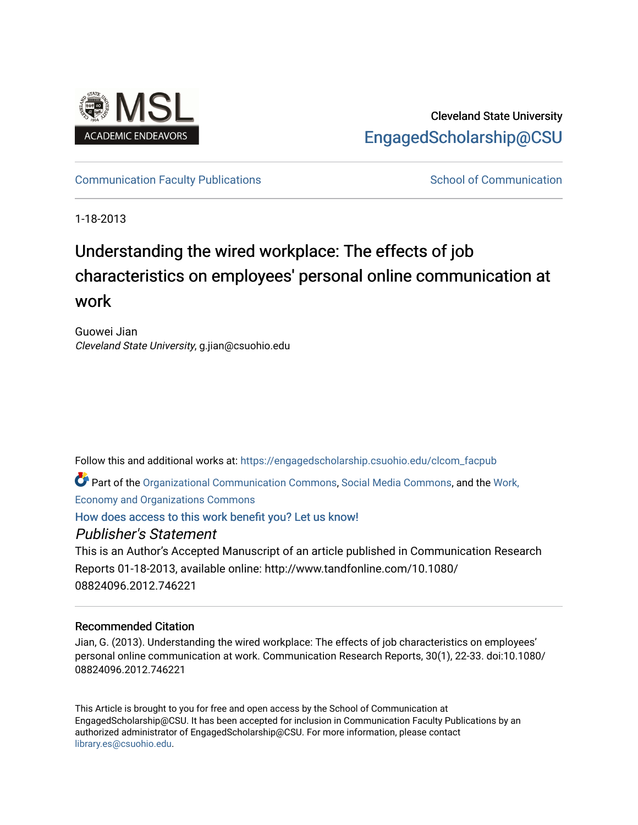

## Cleveland State University [EngagedScholarship@CSU](https://engagedscholarship.csuohio.edu/)

### [Communication Faculty Publications](https://engagedscholarship.csuohio.edu/clcom_facpub) [School of Communication](https://engagedscholarship.csuohio.edu/clcom) School of Communication

1-18-2013

## Understanding the wired workplace: The effects of job characteristics on employees' personal online communication at work

Guowei Jian Cleveland State University, g.jian@csuohio.edu

Follow this and additional works at: [https://engagedscholarship.csuohio.edu/clcom\\_facpub](https://engagedscholarship.csuohio.edu/clcom_facpub?utm_source=engagedscholarship.csuohio.edu%2Fclcom_facpub%2F13&utm_medium=PDF&utm_campaign=PDFCoverPages) 

Part of the [Organizational Communication Commons](http://network.bepress.com/hgg/discipline/335?utm_source=engagedscholarship.csuohio.edu%2Fclcom_facpub%2F13&utm_medium=PDF&utm_campaign=PDFCoverPages), [Social Media Commons,](http://network.bepress.com/hgg/discipline/1249?utm_source=engagedscholarship.csuohio.edu%2Fclcom_facpub%2F13&utm_medium=PDF&utm_campaign=PDFCoverPages) and the [Work,](http://network.bepress.com/hgg/discipline/433?utm_source=engagedscholarship.csuohio.edu%2Fclcom_facpub%2F13&utm_medium=PDF&utm_campaign=PDFCoverPages)  [Economy and Organizations Commons](http://network.bepress.com/hgg/discipline/433?utm_source=engagedscholarship.csuohio.edu%2Fclcom_facpub%2F13&utm_medium=PDF&utm_campaign=PDFCoverPages) 

[How does access to this work benefit you? Let us know!](http://library.csuohio.edu/engaged/)

## Publisher's Statement

This is an Author's Accepted Manuscript of an article published in Communication Research Reports 01-18-2013, available online: http://www.tandfonline.com/10.1080/ 08824096.2012.746221

### Recommended Citation

Jian, G. (2013). Understanding the wired workplace: The effects of job characteristics on employees' personal online communication at work. Communication Research Reports, 30(1), 22-33. doi:10.1080/ 08824096.2012.746221

This Article is brought to you for free and open access by the School of Communication at EngagedScholarship@CSU. It has been accepted for inclusion in Communication Faculty Publications by an authorized administrator of EngagedScholarship@CSU. For more information, please contact [library.es@csuohio.edu.](mailto:library.es@csuohio.edu)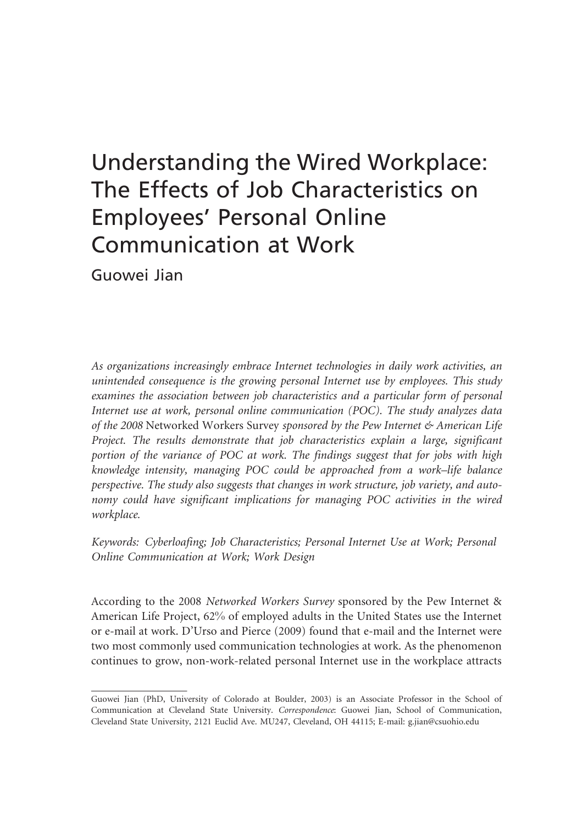# Understanding the Wired Workplace: The Effects of Job Characteristics on Employees' Personal Online Communication at Work

Guowei Jian

As organizations increasingly embrace Internet technologies in daily work activities, an unintended consequence is the growing personal Internet use by employees. This study examines the association between job characteristics and a particular form of personal Internet use at work, personal online communication (POC). The study analyzes data of the 2008 Networked Workers Survey sponsored by the Pew Internet & American Life Project. The results demonstrate that job characteristics explain a large, significant portion of the variance of POC at work. The findings suggest that for jobs with high knowledge intensity, managing POC could be approached from a work–life balance perspective. The study also suggests that changes in work structure, job variety, and autonomy could have significant implications for managing POC activities in the wired workplace.

Keywords: Cyberloafing; Job Characteristics; Personal Internet Use at Work; Personal Online Communication at Work; Work Design

According to the 2008 Networked Workers Survey sponsored by the Pew Internet & American Life Project, 62% of employed adults in the United States use the Internet or e-mail at work. D'Urso and Pierce (2009) found that e-mail and the Internet were two most commonly used communication technologies at work. As the phenomenon continues to grow, non-work-related personal Internet use in the workplace attracts

Guowei Jian (PhD, University of Colorado at Boulder, 2003) is an Associate Professor in the School of Communication at Cleveland State University. Correspondence: Guowei Jian, School of Communication, Cleveland State University, 2121 Euclid Ave. MU247, Cleveland, OH 44115; E-mail: g.jian@csuohio.edu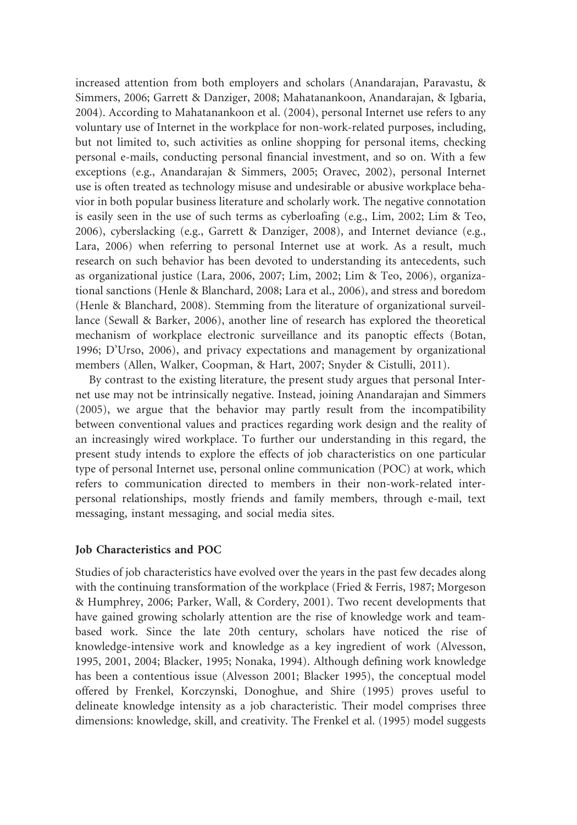increased attention from both employers and scholars (Anandarajan, Paravastu, & Simmers, 2006; Garrett & Danziger, 2008; Mahatanankoon, Anandarajan, & Igbaria, 2004). According to Mahatanankoon et al. (2004), personal Internet use refers to any voluntary use of Internet in the workplace for non-work-related purposes, including, but not limited to, such activities as online shopping for personal items, checking personal e-mails, conducting personal financial investment, and so on. With a few exceptions (e.g., Anandarajan & Simmers, 2005; Oravec, 2002), personal Internet use is often treated as technology misuse and undesirable or abusive workplace behavior in both popular business literature and scholarly work. The negative connotation is easily seen in the use of such terms as cyberloafing (e.g., Lim, 2002; Lim & Teo, 2006), cyberslacking (e.g., Garrett & Danziger, 2008), and Internet deviance (e.g., Lara, 2006) when referring to personal Internet use at work. As a result, much research on such behavior has been devoted to understanding its antecedents, such as organizational justice (Lara, 2006, 2007; Lim, 2002; Lim & Teo, 2006), organizational sanctions (Henle & Blanchard, 2008; Lara et al., 2006), and stress and boredom (Henle & Blanchard, 2008). Stemming from the literature of organizational surveillance (Sewall & Barker, 2006), another line of research has explored the theoretical mechanism of workplace electronic surveillance and its panoptic effects (Botan, 1996; D'Urso, 2006), and privacy expectations and management by organizational members (Allen, Walker, Coopman, & Hart, 2007; Snyder & Cistulli, 2011).

By contrast to the existing literature, the present study argues that personal Internet use may not be intrinsically negative. Instead, joining Anandarajan and Simmers (2005), we argue that the behavior may partly result from the incompatibility between conventional values and practices regarding work design and the reality of an increasingly wired workplace. To further our understanding in this regard, the present study intends to explore the effects of job characteristics on one particular type of personal Internet use, personal online communication (POC) at work, which refers to communication directed to members in their non-work-related interpersonal relationships, mostly friends and family members, through e-mail, text messaging, instant messaging, and social media sites.

#### Job Characteristics and POC

Studies of job characteristics have evolved over the years in the past few decades along with the continuing transformation of the workplace (Fried & Ferris, 1987; Morgeson & Humphrey, 2006; Parker, Wall, & Cordery, 2001). Two recent developments that have gained growing scholarly attention are the rise of knowledge work and teambased work. Since the late 20th century, scholars have noticed the rise of knowledge-intensive work and knowledge as a key ingredient of work (Alvesson, 1995, 2001, 2004; Blacker, 1995; Nonaka, 1994). Although defining work knowledge has been a contentious issue (Alvesson 2001; Blacker 1995), the conceptual model offered by Frenkel, Korczynski, Donoghue, and Shire (1995) proves useful to delineate knowledge intensity as a job characteristic. Their model comprises three dimensions: knowledge, skill, and creativity. The Frenkel et al. (1995) model suggests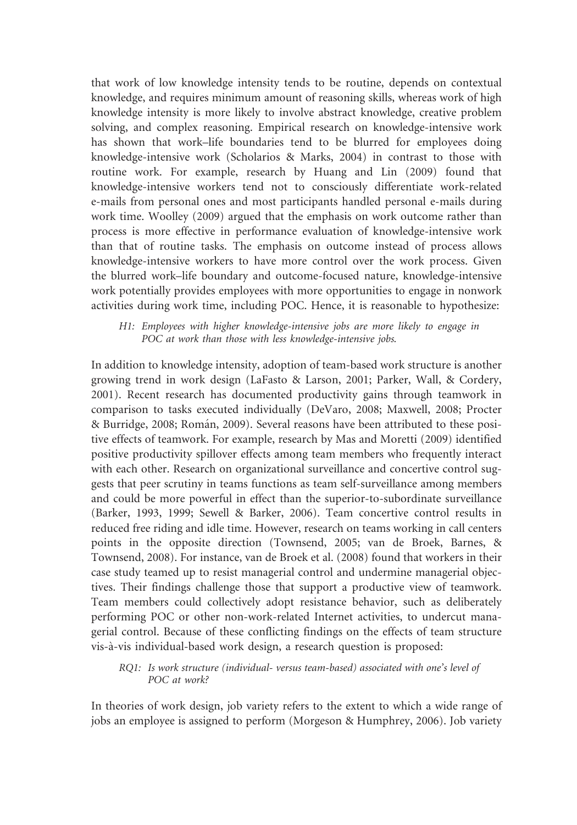that work of low knowledge intensity tends to be routine, depends on contextual knowledge, and requires minimum amount of reasoning skills, whereas work of high knowledge intensity is more likely to involve abstract knowledge, creative problem solving, and complex reasoning. Empirical research on knowledge-intensive work has shown that work–life boundaries tend to be blurred for employees doing knowledge-intensive work (Scholarios & Marks, 2004) in contrast to those with routine work. For example, research by Huang and Lin (2009) found that knowledge-intensive workers tend not to consciously differentiate work-related e-mails from personal ones and most participants handled personal e-mails during work time. Woolley (2009) argued that the emphasis on work outcome rather than process is more effective in performance evaluation of knowledge-intensive work than that of routine tasks. The emphasis on outcome instead of process allows knowledge-intensive workers to have more control over the work process. Given the blurred work–life boundary and outcome-focused nature, knowledge-intensive work potentially provides employees with more opportunities to engage in nonwork activities during work time, including POC. Hence, it is reasonable to hypothesize:

#### H1: Employees with higher knowledge-intensive jobs are more likely to engage in POC at work than those with less knowledge-intensive jobs.

In addition to knowledge intensity, adoption of team-based work structure is another growing trend in work design (LaFasto & Larson, 2001; Parker, Wall, & Cordery, 2001). Recent research has documented productivity gains through teamwork in comparison to tasks executed individually (DeVaro, 2008; Maxwell, 2008; Procter & Burridge, 2008; Roma´n, 2009). Several reasons have been attributed to these positive effects of teamwork. For example, research by Mas and Moretti (2009) identified positive productivity spillover effects among team members who frequently interact with each other. Research on organizational surveillance and concertive control suggests that peer scrutiny in teams functions as team self-surveillance among members and could be more powerful in effect than the superior-to-subordinate surveillance (Barker, 1993, 1999; Sewell & Barker, 2006). Team concertive control results in reduced free riding and idle time. However, research on teams working in call centers points in the opposite direction (Townsend, 2005; van de Broek, Barnes, & Townsend, 2008). For instance, van de Broek et al. (2008) found that workers in their case study teamed up to resist managerial control and undermine managerial objectives. Their findings challenge those that support a productive view of teamwork. Team members could collectively adopt resistance behavior, such as deliberately performing POC or other non-work-related Internet activities, to undercut managerial control. Because of these conflicting findings on the effects of team structure vis-a`-vis individual-based work design, a research question is proposed:

#### RQ1: Is work structure (individual- versus team-based) associated with one's level of POC at work?

In theories of work design, job variety refers to the extent to which a wide range of jobs an employee is assigned to perform (Morgeson & Humphrey, 2006). Job variety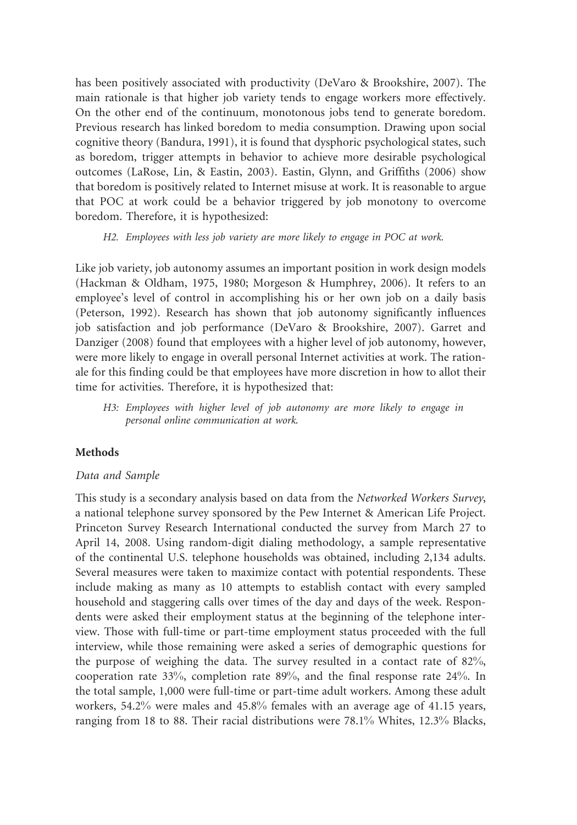has been positively associated with productivity (DeVaro & Brookshire, 2007). The main rationale is that higher job variety tends to engage workers more effectively. On the other end of the continuum, monotonous jobs tend to generate boredom. Previous research has linked boredom to media consumption. Drawing upon social cognitive theory (Bandura, 1991), it is found that dysphoric psychological states, such as boredom, trigger attempts in behavior to achieve more desirable psychological outcomes (LaRose, Lin, & Eastin, 2003). Eastin, Glynn, and Griffiths (2006) show that boredom is positively related to Internet misuse at work. It is reasonable to argue that POC at work could be a behavior triggered by job monotony to overcome boredom. Therefore, it is hypothesized:

#### H2. Employees with less job variety are more likely to engage in POC at work.

Like job variety, job autonomy assumes an important position in work design models (Hackman & Oldham, 1975, 1980; Morgeson & Humphrey, 2006). It refers to an employee's level of control in accomplishing his or her own job on a daily basis (Peterson, 1992). Research has shown that job autonomy significantly influences job satisfaction and job performance (DeVaro & Brookshire, 2007). Garret and Danziger (2008) found that employees with a higher level of job autonomy, however, were more likely to engage in overall personal Internet activities at work. The rationale for this finding could be that employees have more discretion in how to allot their time for activities. Therefore, it is hypothesized that:

H3: Employees with higher level of job autonomy are more likely to engage in personal online communication at work.

#### Methods

#### Data and Sample

This study is a secondary analysis based on data from the Networked Workers Survey, a national telephone survey sponsored by the Pew Internet & American Life Project. Princeton Survey Research International conducted the survey from March 27 to April 14, 2008. Using random-digit dialing methodology, a sample representative of the continental U.S. telephone households was obtained, including 2,134 adults. Several measures were taken to maximize contact with potential respondents. These include making as many as 10 attempts to establish contact with every sampled household and staggering calls over times of the day and days of the week. Respondents were asked their employment status at the beginning of the telephone interview. Those with full-time or part-time employment status proceeded with the full interview, while those remaining were asked a series of demographic questions for the purpose of weighing the data. The survey resulted in a contact rate of 82%, cooperation rate 33%, completion rate 89%, and the final response rate 24%. In the total sample, 1,000 were full-time or part-time adult workers. Among these adult workers, 54.2% were males and 45.8% females with an average age of 41.15 years, ranging from 18 to 88. Their racial distributions were 78.1% Whites, 12.3% Blacks,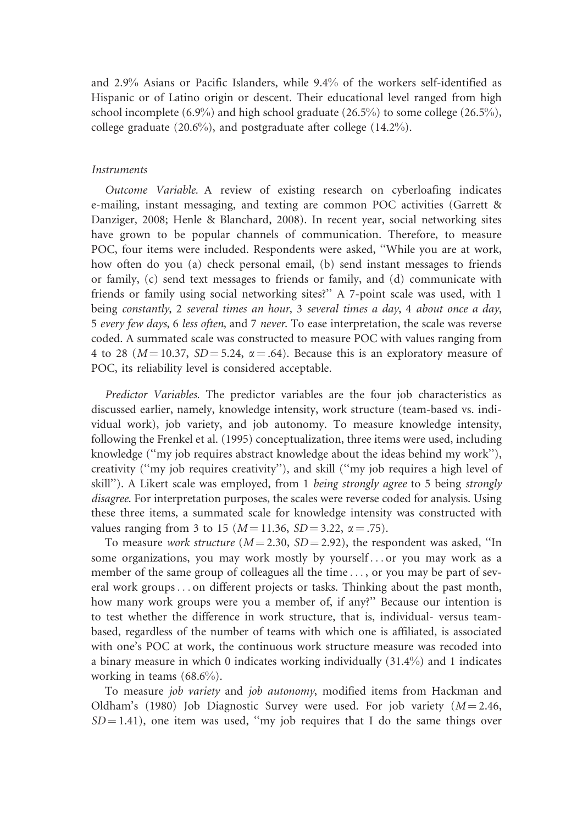and 2.9% Asians or Pacific Islanders, while 9.4% of the workers self-identified as Hispanic or of Latino origin or descent. Their educational level ranged from high school incomplete (6.9%) and high school graduate (26.5%) to some college (26.5%), college graduate (20.6%), and postgraduate after college (14.2%).

#### Instruments

Outcome Variable. A review of existing research on cyberloafing indicates e-mailing, instant messaging, and texting are common POC activities (Garrett & Danziger, 2008; Henle & Blanchard, 2008). In recent year, social networking sites have grown to be popular channels of communication. Therefore, to measure POC, four items were included. Respondents were asked, ''While you are at work, how often do you (a) check personal email, (b) send instant messages to friends or family, (c) send text messages to friends or family, and (d) communicate with friends or family using social networking sites?'' A 7-point scale was used, with 1 being constantly, 2 several times an hour, 3 several times a day, 4 about once a day, 5 every few days, 6 less often, and 7 never. To ease interpretation, the scale was reverse coded. A summated scale was constructed to measure POC with values ranging from 4 to 28 ( $M = 10.37$ ,  $SD = 5.24$ ,  $\alpha = .64$ ). Because this is an exploratory measure of POC, its reliability level is considered acceptable.

Predictor Variables. The predictor variables are the four job characteristics as discussed earlier, namely, knowledge intensity, work structure (team-based vs. individual work), job variety, and job autonomy. To measure knowledge intensity, following the Frenkel et al. (1995) conceptualization, three items were used, including knowledge (''my job requires abstract knowledge about the ideas behind my work''), creativity (''my job requires creativity''), and skill (''my job requires a high level of skill"). A Likert scale was employed, from 1 being strongly agree to 5 being strongly disagree. For interpretation purposes, the scales were reverse coded for analysis. Using these three items, a summated scale for knowledge intensity was constructed with values ranging from 3 to 15 ( $M = 11.36$ ,  $SD = 3.22$ ,  $\alpha = .75$ ).

To measure *work structure* ( $M = 2.30$ ,  $SD = 2.92$ ), the respondent was asked, "In some organizations, you may work mostly by yourself ... or you may work as a member of the same group of colleagues all the time ... , or you may be part of several work groups... on different projects or tasks. Thinking about the past month, how many work groups were you a member of, if any?'' Because our intention is to test whether the difference in work structure, that is, individual- versus teambased, regardless of the number of teams with which one is affiliated, is associated with one's POC at work, the continuous work structure measure was recoded into a binary measure in which 0 indicates working individually (31.4%) and 1 indicates working in teams  $(68.6\%)$ .

To measure job variety and job autonomy, modified items from Hackman and Oldham's (1980) Job Diagnostic Survey were used. For job variety  $(M = 2.46,$  $SD = 1.41$ ), one item was used, "my job requires that I do the same things over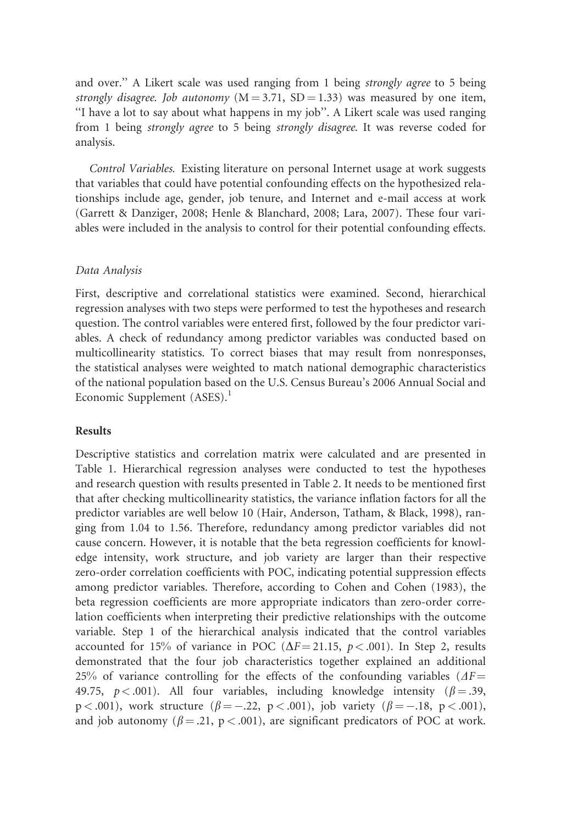and over.'' A Likert scale was used ranging from 1 being strongly agree to 5 being strongly disagree. Job autonomy  $(M = 3.71, SD = 1.33)$  was measured by one item, ''I have a lot to say about what happens in my job''. A Likert scale was used ranging from 1 being strongly agree to 5 being strongly disagree. It was reverse coded for analysis.

Control Variables. Existing literature on personal Internet usage at work suggests that variables that could have potential confounding effects on the hypothesized relationships include age, gender, job tenure, and Internet and e-mail access at work (Garrett & Danziger, 2008; Henle & Blanchard, 2008; Lara, 2007). These four variables were included in the analysis to control for their potential confounding effects.

#### Data Analysis

First, descriptive and correlational statistics were examined. Second, hierarchical regression analyses with two steps were performed to test the hypotheses and research question. The control variables were entered first, followed by the four predictor variables. A check of redundancy among predictor variables was conducted based on multicollinearity statistics. To correct biases that may result from nonresponses, the statistical analyses were weighted to match national demographic characteristics of the national population based on the U.S. Census Bureau's 2006 Annual Social and Economic Supplement  $(ASES).<sup>1</sup>$ 

#### Results

Descriptive statistics and correlation matrix were calculated and are presented in Table 1. Hierarchical regression analyses were conducted to test the hypotheses and research question with results presented in Table 2. It needs to be mentioned first that after checking multicollinearity statistics, the variance inflation factors for all the predictor variables are well below 10 (Hair, Anderson, Tatham, & Black, 1998), ranging from 1.04 to 1.56. Therefore, redundancy among predictor variables did not cause concern. However, it is notable that the beta regression coefficients for knowledge intensity, work structure, and job variety are larger than their respective zero-order correlation coefficients with POC, indicating potential suppression effects among predictor variables. Therefore, according to Cohen and Cohen (1983), the beta regression coefficients are more appropriate indicators than zero-order correlation coefficients when interpreting their predictive relationships with the outcome variable. Step 1 of the hierarchical analysis indicated that the control variables accounted for 15% of variance in POC ( $\Delta F = 21.15$ ,  $p < .001$ ). In Step 2, results demonstrated that the four job characteristics together explained an additional 25% of variance controlling for the effects of the confounding variables ( $\Delta F =$ 49.75,  $p < .001$ ). All four variables, including knowledge intensity ( $\beta = .39$ ,  $p < .001$ ), work structure ( $\beta = -.22$ ,  $p < .001$ ), job variety ( $\beta = -.18$ ,  $p < .001$ ), and job autonomy ( $\beta = .21$ , p < .001), are significant predicators of POC at work.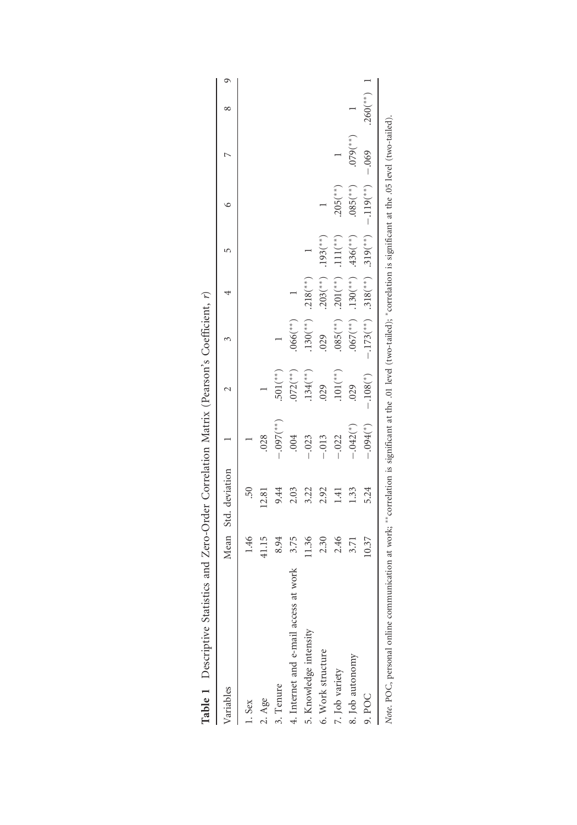| Variables                                |       | Mean Std. deviation |                        | N                        | 3                        |                             | 5                       | ७                        |                 | ${}^{\circ}$             | Q |
|------------------------------------------|-------|---------------------|------------------------|--------------------------|--------------------------|-----------------------------|-------------------------|--------------------------|-----------------|--------------------------|---|
| $1.$ Sex                                 | 1.46  | .50                 |                        |                          |                          |                             |                         |                          |                 |                          |   |
| 2. Age                                   | 41.15 | 12.81               | .028                   |                          |                          |                             |                         |                          |                 |                          |   |
| 3. Tenure                                | 8.94  | 9.44                | $-.097$ (**)           | $.501$ <sup>(**)</sup> ) |                          |                             |                         |                          |                 |                          |   |
| work<br>4. Internet and e-mail access at | 3.75  | 2.03                | .004                   | $.072$ <sup>(**)</sup> ) | $.066$ (**)              |                             |                         |                          |                 |                          |   |
| 5. Knowledge intensity                   | 11.36 | 3.22                | .023                   | $134$ <sup>(**)</sup> )  | $130(^{*})$              | $.218$ <sup>(**)</sup> )    |                         |                          |                 |                          |   |
| 6. Work structure                        | 2.30  | 2.92                | .013                   | .029                     | .029                     | $.203$ <sup>(**</sup> )     | $.193$ <sup>(**</sup> ) |                          |                 |                          |   |
| 7. Job variety                           | 2.46  | 1.41                | $-.022$                | $101$ <sup>(**)</sup> )  | $.085$ <sup>(**)</sup> ) | $.201$ (**)                 | $.111($ **)             | $.205$ <sup>(**)</sup> ) |                 |                          |   |
| 8. Job autonomy                          | 3.71  | 1.33                | $-.042$ <sup>(*)</sup> | .029                     | $.067$ (**)              | $.130$ <sup>(**)</sup> )    | $.436(^{**})$           | $.085$ <sup>(**</sup> )  | $($ **) $6/0$ . |                          |   |
| 9. POC                                   | 10.37 | 5.24                | $-.094$ <sup>(*)</sup> | $-.108(^{*})$            | $-.173$ <sup>(**</sup> ) | $.318^{(**)}$ $.319^{(**)}$ |                         | $-.119$ <sup>(**</sup> ) | $-0.069$        | $.260$ <sup>(**)</sup> ) |   |

| l<br>l<br>l<br>l<br>i<br>l<br>ι<br>١                                                             |
|--------------------------------------------------------------------------------------------------|
| l<br>l<br>$\frac{1}{2}$<br>l                                                                     |
| ֕<br>i<br>֚֓֡<br>l                                                                               |
| l<br>֠<br>ׇ֚֓<br>ׇ֓֕                                                                             |
| l<br>۱<br>Ì<br>$\vdots$<br>ţ<br>ׇ֚֘֝֬<br>ł                                                       |
| Ò<br>۱<br>ו<br>ו<br>ļ                                                                            |
| l<br>֖֖֖֧ׅ֖֧ׅ֖֧֧֖֧֖֧֪֧֪֧֪֧֪֧֪֧֪֧֪֧֪֧֪֧֪֧֪֧֪֧֪֧֚֚֚֚֚֚֚֚֚֚֚֚֚֚֚֚֚֚֚֚֚֚֚֚֚֚֚֚֚֚֚֚֚֬֝֝֬֝֝֬֝֬֝֬֝֬֝֬֝֬ |
| ׇׅ֕֕֕<br>֚֚                                                                                      |
| l<br>l<br>ׇ֚֬֓֡                                                                                  |
| ١<br>ļ<br>ׇ֚֕֡                                                                                   |
| I<br>dDle<br>Ī<br>Í                                                                              |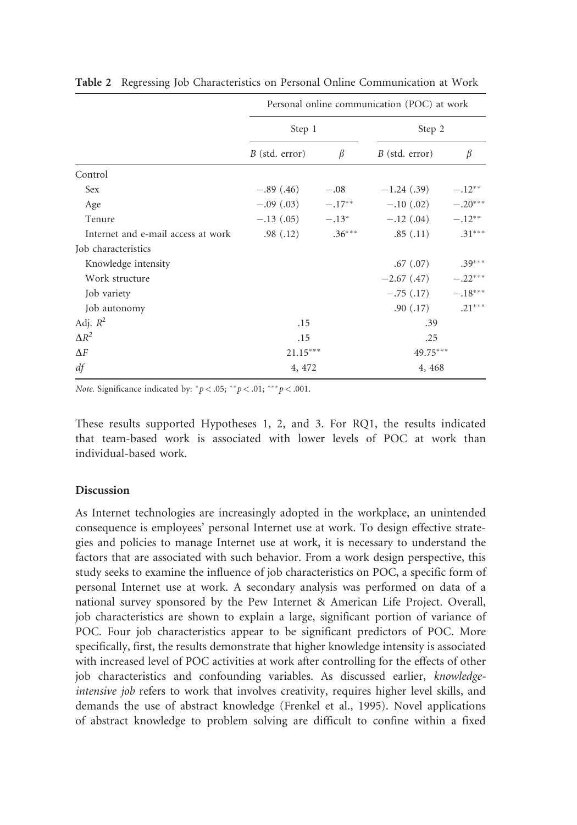|                                    | Personal online communication (POC) at work |          |                  |           |
|------------------------------------|---------------------------------------------|----------|------------------|-----------|
|                                    | Step 1                                      |          | Step 2           |           |
|                                    | $B$ (std. error)                            | $\beta$  | $B$ (std. error) | β         |
| Control                            |                                             |          |                  |           |
| Sex                                | $-.89(.46)$                                 | $-.08$   | $-1.24(0.39)$    | $-.12**$  |
| Age                                | $-.09(.03) \qquad -.17^{**}$                |          | $-.10(.02)$      | $-.20***$ |
| Tenure                             | $-.13(.05) \qquad -.13^*$                   |          | $-.12(.04)$      | $-.12**$  |
| Internet and e-mail access at work | .98(.12)                                    | $.36***$ | .85(.11)         | $.31***$  |
| Job characteristics                |                                             |          |                  |           |
| Knowledge intensity                |                                             |          | .67(.07)         | $.39***$  |
| Work structure                     |                                             |          | $-2.67(0.47)$    | $-.22***$ |
| Job variety                        |                                             |          | $-.75(.17)$      | $-.18***$ |
| Job autonomy                       |                                             |          | .90(0.17)        | $.21***$  |
| Adj. $R^2$                         | .15                                         |          | .39              |           |
| $\Delta R^2$                       | .15                                         |          | .25              |           |
| $\Delta F$                         | $21.15***$                                  |          | $49.75***$       |           |
| df                                 | 4, 472                                      |          | 4, 468           |           |

Table 2 Regressing Job Characteristics on Personal Online Communication at Work

Note. Significance indicated by:  ${}^*p$  < .05;  ${}^*p$  < .01;  ${}^{**}p$  < .001.

These results supported Hypotheses 1, 2, and 3. For RQ1, the results indicated that team-based work is associated with lower levels of POC at work than individual-based work.

#### Discussion

As Internet technologies are increasingly adopted in the workplace, an unintended consequence is employees' personal Internet use at work. To design effective strategies and policies to manage Internet use at work, it is necessary to understand the factors that are associated with such behavior. From a work design perspective, this study seeks to examine the influence of job characteristics on POC, a specific form of personal Internet use at work. A secondary analysis was performed on data of a national survey sponsored by the Pew Internet & American Life Project. Overall, job characteristics are shown to explain a large, significant portion of variance of POC. Four job characteristics appear to be significant predictors of POC. More specifically, first, the results demonstrate that higher knowledge intensity is associated with increased level of POC activities at work after controlling for the effects of other job characteristics and confounding variables. As discussed earlier, knowledgeintensive job refers to work that involves creativity, requires higher level skills, and demands the use of abstract knowledge (Frenkel et al., 1995). Novel applications of abstract knowledge to problem solving are difficult to confine within a fixed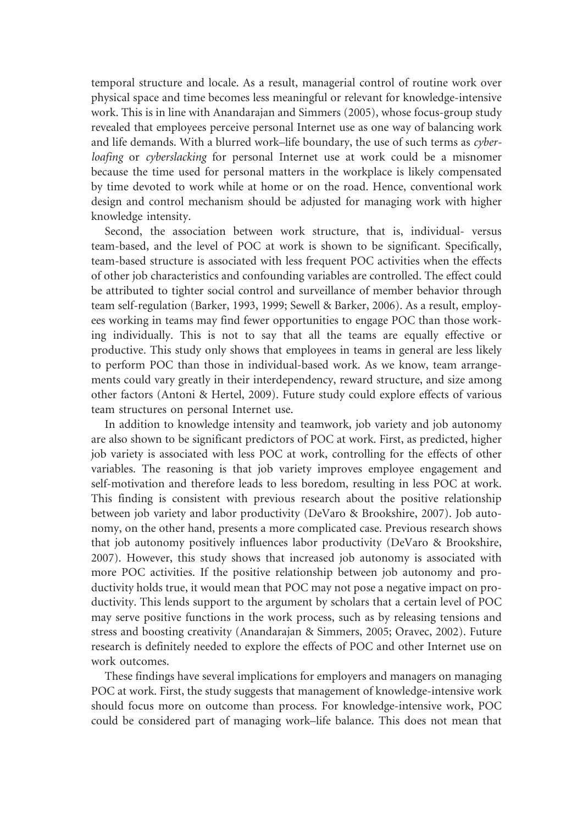temporal structure and locale. As a result, managerial control of routine work over physical space and time becomes less meaningful or relevant for knowledge-intensive work. This is in line with Anandarajan and Simmers (2005), whose focus-group study revealed that employees perceive personal Internet use as one way of balancing work and life demands. With a blurred work–life boundary, the use of such terms as cyberloafing or cyberslacking for personal Internet use at work could be a misnomer because the time used for personal matters in the workplace is likely compensated by time devoted to work while at home or on the road. Hence, conventional work design and control mechanism should be adjusted for managing work with higher knowledge intensity.

Second, the association between work structure, that is, individual- versus team-based, and the level of POC at work is shown to be significant. Specifically, team-based structure is associated with less frequent POC activities when the effects of other job characteristics and confounding variables are controlled. The effect could be attributed to tighter social control and surveillance of member behavior through team self-regulation (Barker, 1993, 1999; Sewell & Barker, 2006). As a result, employees working in teams may find fewer opportunities to engage POC than those working individually. This is not to say that all the teams are equally effective or productive. This study only shows that employees in teams in general are less likely to perform POC than those in individual-based work. As we know, team arrangements could vary greatly in their interdependency, reward structure, and size among other factors (Antoni & Hertel, 2009). Future study could explore effects of various team structures on personal Internet use.

In addition to knowledge intensity and teamwork, job variety and job autonomy are also shown to be significant predictors of POC at work. First, as predicted, higher job variety is associated with less POC at work, controlling for the effects of other variables. The reasoning is that job variety improves employee engagement and self-motivation and therefore leads to less boredom, resulting in less POC at work. This finding is consistent with previous research about the positive relationship between job variety and labor productivity (DeVaro & Brookshire, 2007). Job autonomy, on the other hand, presents a more complicated case. Previous research shows that job autonomy positively influences labor productivity (DeVaro & Brookshire, 2007). However, this study shows that increased job autonomy is associated with more POC activities. If the positive relationship between job autonomy and productivity holds true, it would mean that POC may not pose a negative impact on productivity. This lends support to the argument by scholars that a certain level of POC may serve positive functions in the work process, such as by releasing tensions and stress and boosting creativity (Anandarajan & Simmers, 2005; Oravec, 2002). Future research is definitely needed to explore the effects of POC and other Internet use on work outcomes.

These findings have several implications for employers and managers on managing POC at work. First, the study suggests that management of knowledge-intensive work should focus more on outcome than process. For knowledge-intensive work, POC could be considered part of managing work–life balance. This does not mean that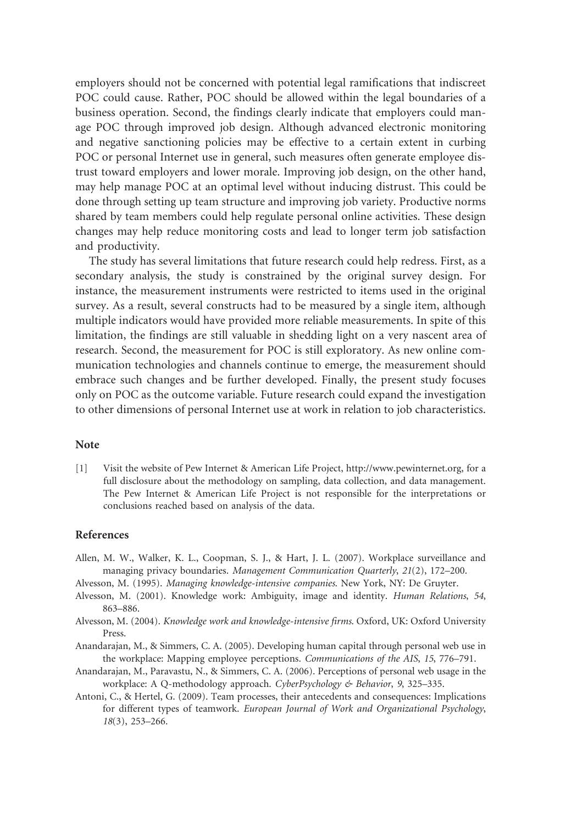employers should not be concerned with potential legal ramifications that indiscreet POC could cause. Rather, POC should be allowed within the legal boundaries of a business operation. Second, the findings clearly indicate that employers could manage POC through improved job design. Although advanced electronic monitoring and negative sanctioning policies may be effective to a certain extent in curbing POC or personal Internet use in general, such measures often generate employee distrust toward employers and lower morale. Improving job design, on the other hand, may help manage POC at an optimal level without inducing distrust. This could be done through setting up team structure and improving job variety. Productive norms shared by team members could help regulate personal online activities. These design changes may help reduce monitoring costs and lead to longer term job satisfaction and productivity.

The study has several limitations that future research could help redress. First, as a secondary analysis, the study is constrained by the original survey design. For instance, the measurement instruments were restricted to items used in the original survey. As a result, several constructs had to be measured by a single item, although multiple indicators would have provided more reliable measurements. In spite of this limitation, the findings are still valuable in shedding light on a very nascent area of research. Second, the measurement for POC is still exploratory. As new online communication technologies and channels continue to emerge, the measurement should embrace such changes and be further developed. Finally, the present study focuses only on POC as the outcome variable. Future research could expand the investigation to other dimensions of personal Internet use at work in relation to job characteristics.

#### Note

[1] Visit the website of Pew Internet & American Life Project, http://www.pewinternet.org, for a full disclosure about the methodology on sampling, data collection, and data management. The Pew Internet & American Life Project is not responsible for the interpretations or conclusions reached based on analysis of the data.

#### References

- Allen, M. W., Walker, K. L., Coopman, S. J., & Hart, J. L. (2007). Workplace surveillance and managing privacy boundaries. Management Communication Quarterly, 21(2), 172–200.
- Alvesson, M. (1995). Managing knowledge-intensive companies. New York, NY: De Gruyter.
- Alvesson, M. (2001). Knowledge work: Ambiguity, image and identity. Human Relations, 54, 863–886.
- Alvesson, M. (2004). Knowledge work and knowledge-intensive firms. Oxford, UK: Oxford University Press.
- Anandarajan, M., & Simmers, C. A. (2005). Developing human capital through personal web use in the workplace: Mapping employee perceptions. Communications of the AIS, 15, 776–791.
- Anandarajan, M., Paravastu, N., & Simmers, C. A. (2006). Perceptions of personal web usage in the workplace: A Q-methodology approach. CyberPsychology & Behavior, 9, 325-335.
- Antoni, C., & Hertel, G. (2009). Team processes, their antecedents and consequences: Implications for different types of teamwork. European Journal of Work and Organizational Psychology, 18(3), 253–266.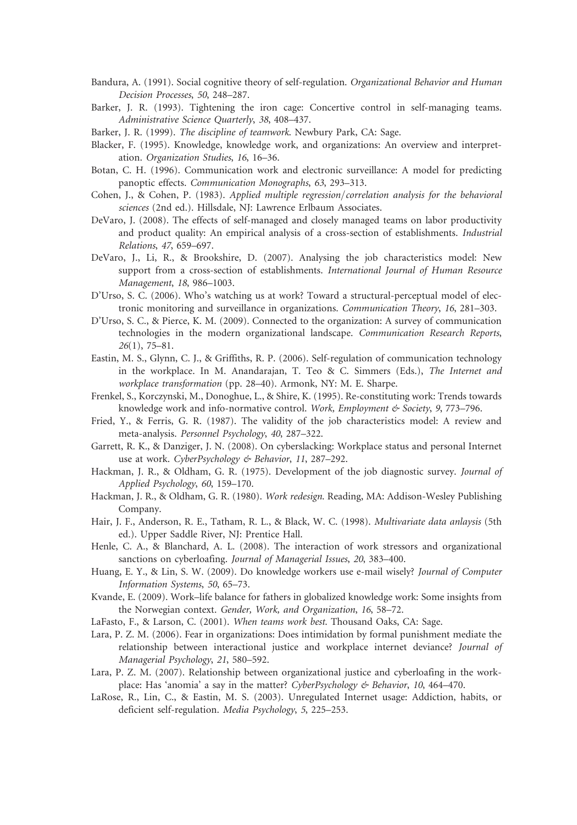- Bandura, A. (1991). Social cognitive theory of self-regulation. Organizational Behavior and Human Decision Processes, 50, 248–287.
- Barker, J. R. (1993). Tightening the iron cage: Concertive control in self-managing teams. Administrative Science Quarterly, 38, 408–437.
- Barker, J. R. (1999). The discipline of teamwork. Newbury Park, CA: Sage.
- Blacker, F. (1995). Knowledge, knowledge work, and organizations: An overview and interpretation. Organization Studies, 16, 16–36.
- Botan, C. H. (1996). Communication work and electronic surveillance: A model for predicting panoptic effects. Communication Monographs, 63, 293–313.
- Cohen, J., & Cohen, P. (1983). Applied multiple regression/correlation analysis for the behavioral sciences (2nd ed.). Hillsdale, NJ: Lawrence Erlbaum Associates.
- DeVaro, J. (2008). The effects of self-managed and closely managed teams on labor productivity and product quality: An empirical analysis of a cross-section of establishments. Industrial Relations, 47, 659–697.
- DeVaro, J., Li, R., & Brookshire, D. (2007). Analysing the job characteristics model: New support from a cross-section of establishments. International Journal of Human Resource Management, 18, 986–1003.
- D'Urso, S. C. (2006). Who's watching us at work? Toward a structural-perceptual model of electronic monitoring and surveillance in organizations. Communication Theory, 16, 281–303.
- D'Urso, S. C., & Pierce, K. M. (2009). Connected to the organization: A survey of communication technologies in the modern organizational landscape. Communication Research Reports, 26(1), 75–81.
- Eastin, M. S., Glynn, C. J., & Griffiths, R. P. (2006). Self-regulation of communication technology in the workplace. In M. Anandarajan, T. Teo & C. Simmers (Eds.), The Internet and workplace transformation (pp. 28–40). Armonk, NY: M. E. Sharpe.
- Frenkel, S., Korczynski, M., Donoghue, L., & Shire, K. (1995). Re-constituting work: Trends towards knowledge work and info-normative control. Work, Employment & Society, 9, 773-796.
- Fried, Y., & Ferris, G. R. (1987). The validity of the job characteristics model: A review and meta-analysis. Personnel Psychology, 40, 287–322.
- Garrett, R. K., & Danziger, J. N. (2008). On cyberslacking: Workplace status and personal Internet use at work. CyberPsychology & Behavior, 11, 287-292.
- Hackman, J. R., & Oldham, G. R. (1975). Development of the job diagnostic survey. Journal of Applied Psychology, 60, 159–170.
- Hackman, J. R., & Oldham, G. R. (1980). Work redesign. Reading, MA: Addison-Wesley Publishing Company.
- Hair, J. F., Anderson, R. E., Tatham, R. L., & Black, W. C. (1998). Multivariate data anlaysis (5th ed.). Upper Saddle River, NJ: Prentice Hall.
- Henle, C. A., & Blanchard, A. L. (2008). The interaction of work stressors and organizational sanctions on cyberloafing. Journal of Managerial Issues, 20, 383–400.
- Huang, E. Y., & Lin, S. W. (2009). Do knowledge workers use e-mail wisely? Journal of Computer Information Systems, 50, 65–73.
- Kvande, E. (2009). Work–life balance for fathers in globalized knowledge work: Some insights from the Norwegian context. Gender, Work, and Organization, 16, 58–72.
- LaFasto, F., & Larson, C. (2001). When teams work best. Thousand Oaks, CA: Sage.
- Lara, P. Z. M. (2006). Fear in organizations: Does intimidation by formal punishment mediate the relationship between interactional justice and workplace internet deviance? Journal of Managerial Psychology, 21, 580–592.
- Lara, P. Z. M. (2007). Relationship between organizational justice and cyberloafing in the workplace: Has 'anomia' a say in the matter? CyberPsychology & Behavior, 10, 464-470.
- LaRose, R., Lin, C., & Eastin, M. S. (2003). Unregulated Internet usage: Addiction, habits, or deficient self-regulation. Media Psychology, 5, 225–253.